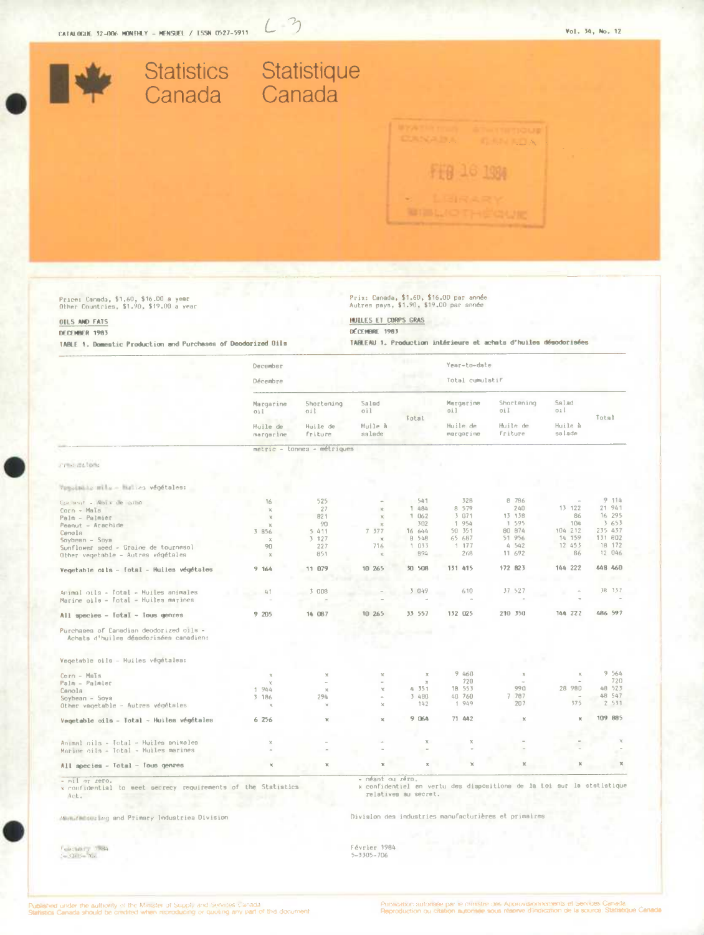$L-3$ 

| <b>Statistics</b><br>Canada                                                       |                                  | Statistique<br>Canada         |                         |                         |                                         |                                                                  |                   |                           |
|-----------------------------------------------------------------------------------|----------------------------------|-------------------------------|-------------------------|-------------------------|-----------------------------------------|------------------------------------------------------------------|-------------------|---------------------------|
|                                                                                   |                                  |                               |                         |                         |                                         |                                                                  |                   |                           |
|                                                                                   |                                  |                               |                         |                         |                                         |                                                                  |                   |                           |
|                                                                                   |                                  |                               |                         |                         |                                         |                                                                  |                   |                           |
|                                                                                   |                                  |                               |                         |                         |                                         |                                                                  |                   |                           |
|                                                                                   |                                  |                               |                         |                         |                                         |                                                                  |                   |                           |
|                                                                                   |                                  |                               |                         |                         |                                         |                                                                  |                   |                           |
| Price: Canada, \$1.60, \$16.00 a year                                             |                                  |                               |                         |                         | Prix: Canada, \$1.60, \$16.00 par année |                                                                  |                   |                           |
| Other Countries, \$1.90, \$19.00 a year<br>OILS AND FATS                          |                                  |                               | HUILES ET CORPS GRAS    |                         | Autres pays, \$1.90, \$19.00 par année  |                                                                  |                   |                           |
| DECEMBER 1983<br>TABLE 1. Domestic Production and Purchases of Deodorized Dils    |                                  |                               | DÉCEMBRE 1983           |                         |                                         | TABLEAU 1. Production intérieure et achats d'huiles désodorisées |                   |                           |
|                                                                                   | December                         |                               |                         |                         | Year-to-date                            |                                                                  |                   |                           |
|                                                                                   | Décembre                         |                               |                         |                         | Total cumulatif                         |                                                                  |                   |                           |
|                                                                                   | Margarine<br>oil                 | Shortening<br>oil             | Salad<br>oil            |                         | Margarine<br>oil                        | Shortening<br>oil                                                | Salad<br>oil      |                           |
|                                                                                   | Huile de<br>margarine            | Huile de<br>friture           | Huile à<br>salade       | Total                   | Huile de<br>margarine                   | Huile de<br>friture                                              | Huile à<br>salade | Total                     |
|                                                                                   |                                  | metric - tonnes - métriques   |                         |                         |                                         |                                                                  |                   |                           |
| Principal band                                                                    |                                  |                               |                         |                         |                                         |                                                                  |                   |                           |
| remoteble mile - Havies végétales:                                                |                                  |                               |                         |                         |                                         |                                                                  |                   |                           |
| Coconut - Nois en cono<br>Corn - Mais                                             | 16<br>$\mathbb{X}$               | 525<br>27                     | $\mathbb{N}$            | 541<br>1 484            | 32B<br>8 579                            | 8 7 8 6<br>240                                                   | 13 122            | 9.114<br>21 941           |
| Palm - Palmier<br>Peanut - Arachide                                               | $\mathbb{R}$<br>x                | 821<br>90                     | $\times$<br>$\mathbf x$ | 1062<br>302             | 3 071<br>1 954                          | 13 138<br>1 595                                                  | 86<br>104         | 16 295<br>3653            |
| Canola<br>Soybean - Soya                                                          | 3 856<br>$\mathbb{X}$            | 5 411<br>3 127                | 7.377<br>$\mathbf{x}$   | 16 644<br>8 548         | 50 351<br>65 687                        | 80 874<br>51 956                                                 | 104 212<br>14 159 | 235 437<br>131 802        |
| Sunflower seed - Graine de tournesol<br>Other vegetable - Autres végétales        | 90<br>$\mathbb{X}$               | 227<br>851                    | 716<br>$\mathbb{K}$     | 1 033<br>894            | 1177<br>268                             | 4 5 4 2<br>11 692                                                | 12 453<br>86      | 18 172<br>12 046          |
| Vegetable oils - fotal - Huiles végétales                                         | 9 164                            | 11 079                        | 10 265                  | 50 508                  | 131<br>415                              | 172 823                                                          | 144 222           | 448 460                   |
| Animal oils - Total - Huiles animales<br>Marine oils - Total - Huiles marines     | 41                               | 3 008                         |                         | 3 049                   | 610                                     | 37 527                                                           |                   | 38 137                    |
| All species - Total - Tous genres                                                 | 9 205                            | 14 087                        | 10 265                  | 33 557                  | 132 025                                 | 210 350                                                          | 144 222           | 486 597                   |
| Purchases of Canadian deodorized oils -<br>Achats d'huiles désodorisées canadien: |                                  |                               |                         | - 14                    |                                         |                                                                  |                   |                           |
| Vegetable oils - Huiles végétalea:                                                |                                  |                               |                         |                         |                                         |                                                                  |                   |                           |
| Corn - Maïs                                                                       | $\rm{M}$<br>$\mathbb{K}$         | $\boldsymbol{\mathsf{x}}$     |                         | $\mathbf x$<br>$\times$ | 9 460<br>720                            | $\mathcal{N}$                                                    |                   | 9 564<br>720              |
| Palm - Palmler<br>Canola<br>Soybean - Soya<br>Other vagetable - Autres végétales  | 1944<br>3 186<br>$\mathcal{H}_i$ | $\mathbb{X}$<br>294<br>$\chi$ |                         | 4 351<br>3 480<br>142   | 18 553<br>40 760<br>1 949               | 990<br>7 787<br>207                                              | 28 980<br>375     | 48 523<br>48 547<br>2 531 |
| Vegetable oils - Total - Huiles végétales                                         | 6 256                            | ×                             |                         | 9 064                   | 71 442                                  | $_{\rm X}$                                                       | ×                 | 109 885                   |
| Animal oils - Total - Huiles animales<br>Marine oils - Total - Huiles marines     | x                                |                               |                         | $\boldsymbol{\times}$   |                                         |                                                                  |                   |                           |
| All apecies - Total - Tous genres                                                 |                                  |                               |                         | ×                       |                                         |                                                                  |                   |                           |

- nil or zero.<br>x confidential to meet secrecy requirements of the Statistics<br>Act.

- néant ou zéro.<br>x confidentiel en vertu des dispositions de la toi sur la statistique<br>relatives au secret.

Manufacturing and Primary Industries Division

 $\frac{1}{1-3.342-206} \times \frac{1.684}{206}$ 

Division des industries manufacturières et primaires

Février 1984<br>5-3305-706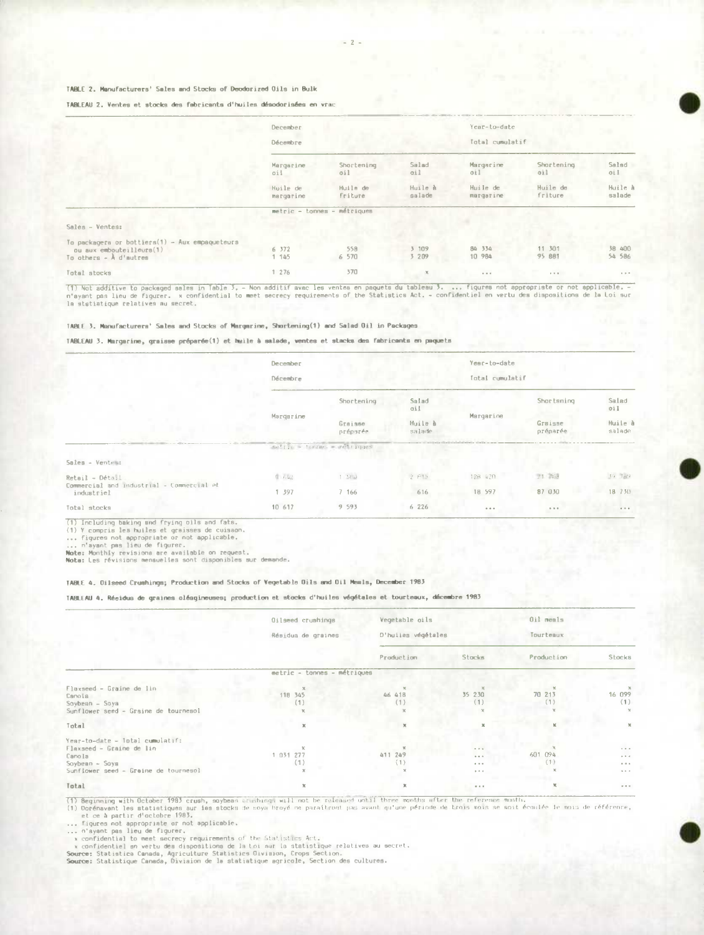## TABLE 2. Manufacturers' Sales and Stocks of Deodorized Gils in Bulk

#### TABLEAU 2. Ventes et stocks des fabricants d'huiles désodorisées en vrac

|                                                                                                       | December              |                             |                   | Year-to-date          |                                 |                   |  |
|-------------------------------------------------------------------------------------------------------|-----------------------|-----------------------------|-------------------|-----------------------|---------------------------------|-------------------|--|
|                                                                                                       | Décembre              |                             |                   | Total cumulatif       |                                 |                   |  |
|                                                                                                       | Margarine<br>oil      | Shortening<br>oil           | Salad<br>ail      | Margarine<br>011      | Shortening<br>oil               | Salad<br>oil      |  |
|                                                                                                       | Huile de<br>margarine | Huile de<br>friture         | Huile à<br>salade | Huile de<br>margarine | Huile de<br>friture             | Huile à<br>salade |  |
|                                                                                                       |                       | metric - tonnes - métriques |                   |                       |                                 |                   |  |
| Sales - Ventes:                                                                                       |                       |                             |                   |                       |                                 |                   |  |
| To packagers or bottiers(1) - Aux empaqueteurs<br>ou aux embouteilleurs(1)<br>To others $ A$ d'autres | 6 372<br>1 145        | 558<br>6 570                | 3 109<br>3 209    | 84 334<br>10 984      | 11 301<br>95 881                | 38 400<br>54 586  |  |
| Intel stocks                                                                                          | 1.276                 | 370                         | $\infty$          | .                     | the contract of the contract of | $  -$             |  |

it is assumed to persoyer ears in mode 2, - Non additif avec les ventes en paquets du tableau 3. ... figures not appropriate or not applicable. -<br>In statiatique relatives au secret.<br>In statiatique relatives au secret. (1) Not additive to packaged sales in Table 3, - Non additif avac les ventes en paquets du tableau 3.

# TABLE 3. Manufacturers' Sales and Stocks of Margarine, Shortening(1) and Salad Oil in Packages

TABLEAU 3. Margarine, graisse préparée(1) et huile à salade, ventes et stacks des fabricants en paquets

|                                                         | December<br>Décembre |                             |                                   | Year-to-date<br>Total cumulatif |                                                       |                                   |
|---------------------------------------------------------|----------------------|-----------------------------|-----------------------------------|---------------------------------|-------------------------------------------------------|-----------------------------------|
|                                                         |                      | Shortening                  | Salad<br>oil<br>Huile à<br>salade | Margarine                       | Shortsning<br>Grsisse<br>préparée                     | Salad<br>oil<br>Huile à<br>salade |
|                                                         | Margarine            | Graisse<br>préparée         |                                   |                                 |                                                       |                                   |
|                                                         |                      | metric - fonnes - metriques |                                   |                                 |                                                       |                                   |
| Sales - Ventes:                                         |                      |                             |                                   |                                 |                                                       |                                   |
| Retail - Détail                                         | $9 - 1.42$           | $1 - 51153$                 | 2 615                             | 128 420                         | $21 - 318$                                            | 39.789                            |
| Commercial and industrial - Commercial et<br>industriel | 1 397                | 7 166                       | 616                               | 18 597                          | 87 030                                                | 18 730                            |
| Total stocks                                            | 10 617               | 9 5 9 3                     | 6 226                             | $\cdots$                        | $\begin{array}{cccccccccc} 0 & 0 & 0 & 0 \end{array}$ | $+ - +$                           |

(1) Including baking and frying oils and fats,<br>
(1) Y comptis les huiles et graises of cuisaon,<br>
... figures not appropriate or not applicable,<br>
... n'ayant pas lieu de figurer.<br> **Note:** Monthly revisions are available on

#### TABLE 4. Oilseed Crushings; Production and Stocks of Vegetable Oils and Oil Meals, December 1983

TABLEAU 4. Récidus de graines oléagineuses; production et stocks d'huiles végétales et tourteaux, décembre 1983

|                                                                                                                                   | Oilseed cruahings           | Vegetable oils | D'huiles végétales                            |                | Oil meals<br>Tourteaux                                           |  |
|-----------------------------------------------------------------------------------------------------------------------------------|-----------------------------|----------------|-----------------------------------------------|----------------|------------------------------------------------------------------|--|
|                                                                                                                                   | Résidua de graines          |                |                                               |                |                                                                  |  |
|                                                                                                                                   |                             | Production     | Stocks                                        | Production     | Stocks                                                           |  |
|                                                                                                                                   | metric - tonnes - métriques |                |                                               |                |                                                                  |  |
| Flaxseed - Graine de lin<br>Canola<br>Soybean - Soya                                                                              | 118 345<br>(1)              | 46 418<br>(1)  | 35 230<br>(1)                                 | 70 213         | 16 099<br>(1)<br>$\times$                                        |  |
| Sunflower seed - Graine de tournesol<br>Total                                                                                     | x                           | $\mathbbm{K}$  |                                               |                | $\mathbf{x}$                                                     |  |
| Year-to-date - lotal cumulatif:<br>Flaxseed - Graine de lin<br>Canola<br>$Soybean - Says$<br>Sunflower seed - Graine de tournesol | 1 031 277<br>(1)            | 411 249<br>(1) | $\cdots$<br>$\cdots$<br>$-0.001$<br>$8.6 - 6$ | 601 094<br>(1) | $\cdots$<br>$\alpha \rightarrow -\alpha$<br>$+ + +$<br>$8.8 - 8$ |  |
| Total                                                                                                                             | x                           | $\mathbf x$    | $\alpha \rightarrow \alpha$                   |                | $\alpha \rightarrow \infty$                                      |  |
|                                                                                                                                   |                             |                |                                               |                |                                                                  |  |

(1) Beginning with October 1983 crush, saybean stushings will not be released with three months after the reference month.<br>
(1) Oorénavant les statiatiques aur ies stocks de noya broyé ne paraîtront pas avant qu'une périod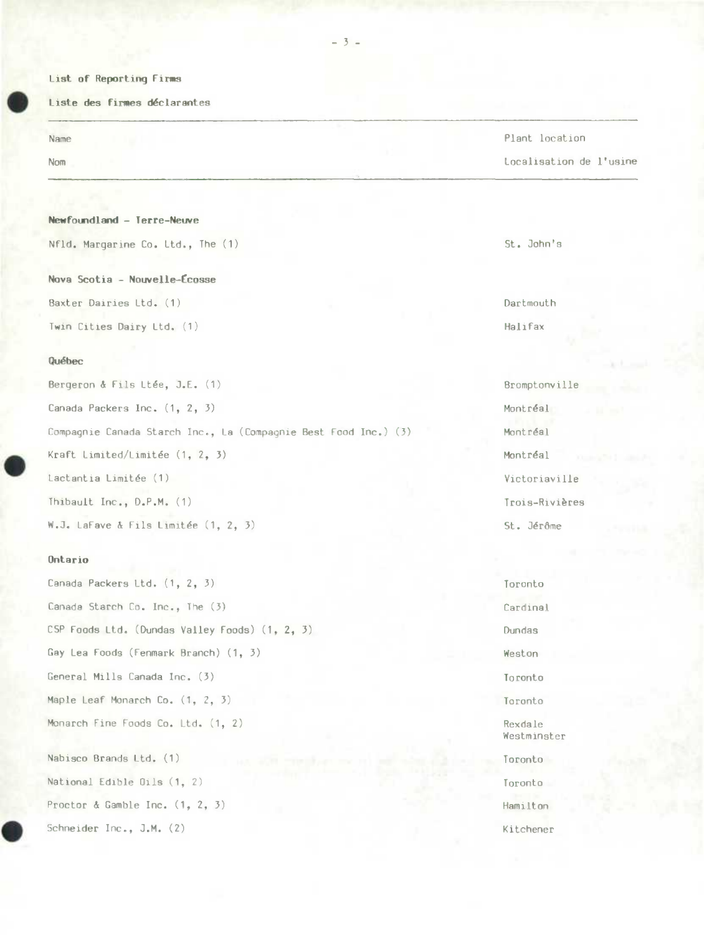## **List of Reporting Firms**

**is hate des firmes déclarantes** 

## **Newfoundland - Terre-Neuve**

Nfld. Margarine Co. Ltd., The (1) St. John's

**Nova** Scotia - **Nouvelle-(cosse**  Baxter Dairies Ltd. (1) Dartmouth

Twin Cities Dairy Ltd. (1) Twin Changes and Contact and Contact and Halifax

## **Québec**

| Bergeron & Fils Ltée, J.E. (1)                                    | Bromptonvil |
|-------------------------------------------------------------------|-------------|
| Canada Packers Inc. (1, 2, 3)                                     | Montréal    |
| Compagnie Canada Starch Inc., La (Compagnie Best Food Inc.) $(3)$ | Montréal    |
| Kraft Limited/Limitée $(1, 2, 3)$                                 | Montréal    |
| Lactantia Limitée (1)                                             | Victoriavil |
| Thibault Inc., D.P.M. (1)                                         | Trois-Riviè |
| W.J. LaFave & Fils Limitée $(1, 2, 3)$                            | St. Jérôme  |

#### **Ontario**

Canada Packers Ltd. (1, 2, *3)* Toronto Canada Starch Co. Inc., The (3) Cardinal CSP Foods Ltd. (Dundas Valley Foods) (1, 2, 3) Dundas Gay Lea Foods (Fenmark Branch) (1, 3) Weston General Mills Canada Inc. (3) Toronto Maple Leaf Monarch Co.  $(1, 2, 3)$  Toronto Monarch Fine Foods Co. Ltd. (1, 2) Rexdale Nabisco Brands Ltd. (1) Toronto National Edible Oils (1, 2) Toronto Proctor & Gamble Inc.  $(1, 2, 3)$  Hamilton

5chneider Inc., J.M. (2) Kitchener

## Name Plant location and the Plant location of the Plant location of the Plant location of the Plant location of the Plant location of the Plant location of the Plant location of the Plant location of the Plant location of

Nom Localisation de l'usine

Bromptonville Victoriaville Trois-Rivières

Westminster

# -3-